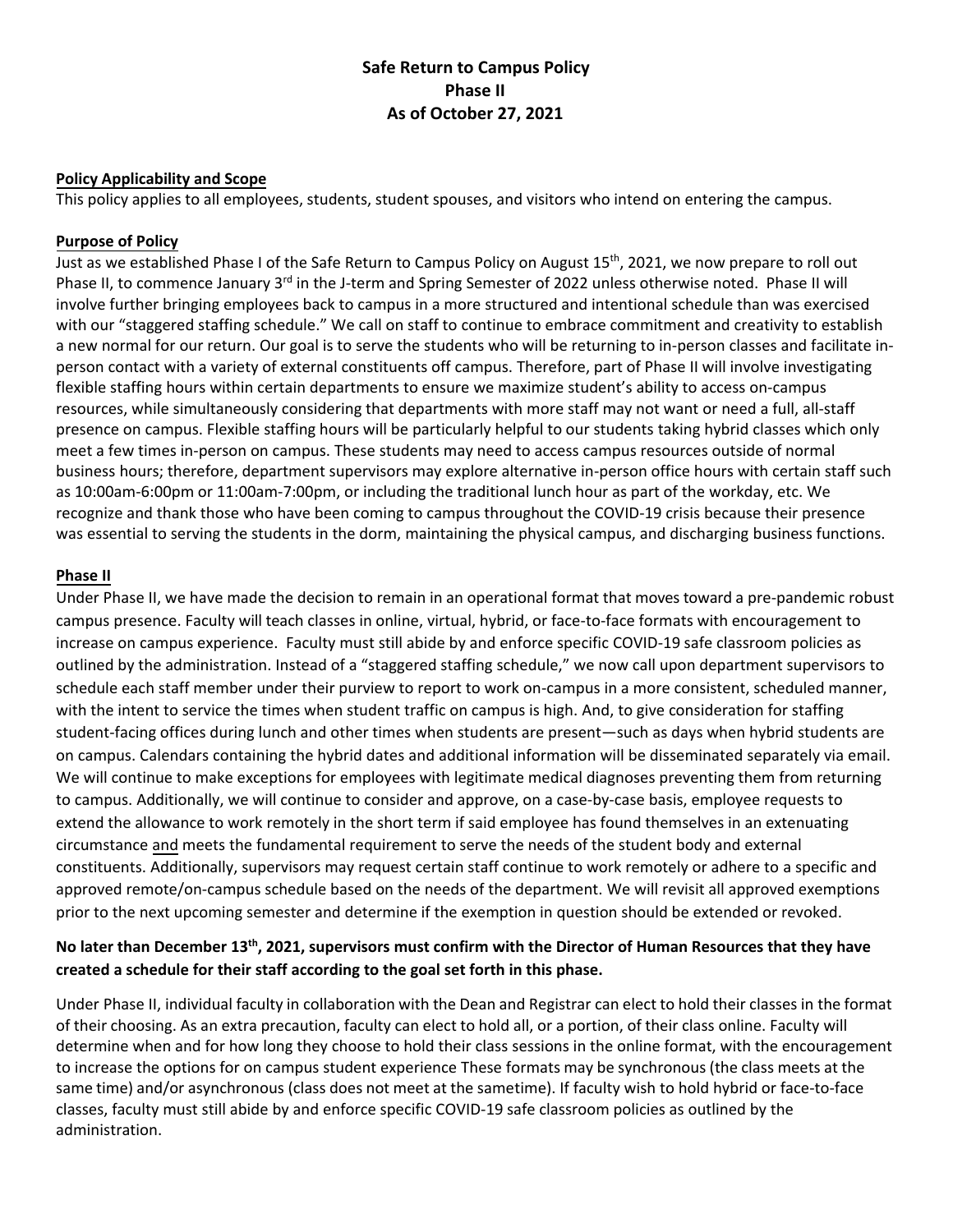# **Safe Return to Campus Policy Phase II As of October 27, 2021**

### **Policy Applicability and Scope**

This policy applies to all employees, students, student spouses, and visitors who intend on entering the campus.

## **Purpose of Policy**

Just as we established Phase I of the Safe Return to Campus Policy on August 15<sup>th</sup>, 2021, we now prepare to roll out Phase II, to commence January 3<sup>rd</sup> in the J-term and Spring Semester of 2022 unless otherwise noted. Phase II will involve further bringing employees back to campus in a more structured and intentional schedule than was exercised with our "staggered staffing schedule." We call on staff to continue to embrace commitment and creativity to establish a new normal for our return. Our goal is to serve the students who will be returning to in-person classes and facilitate inperson contact with a variety of external constituents off campus. Therefore, part of Phase II will involve investigating flexible staffing hours within certain departments to ensure we maximize student's ability to access on-campus resources, while simultaneously considering that departments with more staff may not want or need a full, all-staff presence on campus. Flexible staffing hours will be particularly helpful to our students taking hybrid classes which only meet a few times in-person on campus. These students may need to access campus resources outside of normal business hours; therefore, department supervisors may explore alternative in-person office hours with certain staff such as 10:00am-6:00pm or 11:00am-7:00pm, or including the traditional lunch hour as part of the workday, etc. We recognize and thank those who have been coming to campus throughout the COVID-19 crisis because their presence was essential to serving the students in the dorm, maintaining the physical campus, and discharging business functions.

## **Phase II**

Under Phase II, we have made the decision to remain in an operational format that moves toward a pre-pandemic robust campus presence. Faculty will teach classes in online, virtual, hybrid, or face-to-face formats with encouragement to increase on campus experience. Faculty must still abide by and enforce specific COVID-19 safe classroom policies as outlined by the administration. Instead of a "staggered staffing schedule," we now call upon department supervisors to schedule each staff member under their purview to report to work on-campus in a more consistent, scheduled manner, with the intent to service the times when student traffic on campus is high. And, to give consideration for staffing student-facing offices during lunch and other times when students are present—such as days when hybrid students are on campus. Calendars containing the hybrid dates and additional information will be disseminated separately via email. We will continue to make exceptions for employees with legitimate medical diagnoses preventing them from returning to campus. Additionally, we will continue to consider and approve, on a case-by-case basis, employee requests to extend the allowance to work remotely in the short term if said employee has found themselves in an extenuating circumstance and meets the fundamental requirement to serve the needs of the student body and external constituents. Additionally, supervisors may request certain staff continue to work remotely or adhere to a specific and approved remote/on-campus schedule based on the needs of the department. We will revisit all approved exemptions prior to the next upcoming semester and determine if the exemption in question should be extended or revoked.

# **No later than December 13th , 2021, supervisors must confirm with the Director of Human Resources that they have created a schedule for their staff according to the goal set forth in this phase.**

Under Phase II, individual faculty in collaboration with the Dean and Registrar can elect to hold their classes in the format of their choosing. As an extra precaution, faculty can elect to hold all, or a portion, of their class online. Faculty will determine when and for how long they choose to hold their class sessions in the online format, with the encouragement to increase the options for on campus student experience These formats may be synchronous (the class meets at the same time) and/or asynchronous (class does not meet at the same time). If faculty wish to hold hybrid or face-to-face classes, faculty must still abide by and enforce specific COVID-19 safe classroom policies as outlined by the administration.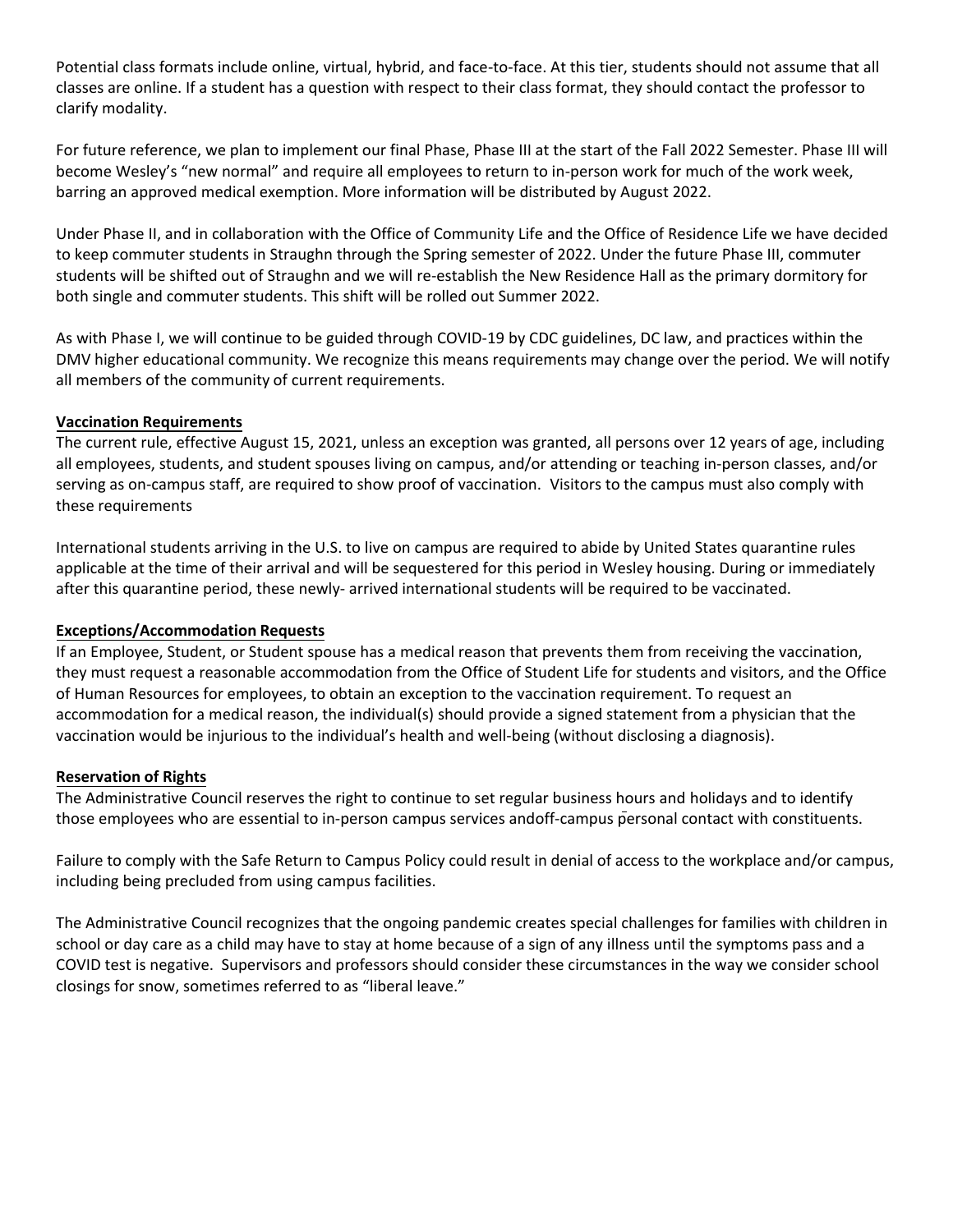Potential class formats include online, virtual, hybrid, and face-to-face. At this tier, students should not assume that all classes are online. If a student has a question with respect to their class format, they should contact the professor to clarify modality.

For future reference, we plan to implement our final Phase, Phase III at the start of the Fall 2022 Semester. Phase III will become Wesley's "new normal" and require all employees to return to in-person work for much of the work week, barring an approved medical exemption. More information will be distributed by August 2022.

Under Phase II, and in collaboration with the Office of Community Life and the Office of Residence Life we have decided to keep commuter students in Straughn through the Spring semester of 2022. Under the future Phase III, commuter students will be shifted out of Straughn and we will re-establish the New Residence Hall as the primary dormitory for both single and commuter students. This shift will be rolled out Summer 2022.

As with Phase I, we will continue to be guided through COVID-19 by CDC guidelines, DC law, and practices within the DMV higher educational community. We recognize this means requirements may change over the period. We will notify all members of the community of current requirements.

### **Vaccination Requirements**

The current rule, effective August 15, 2021, unless an exception was granted, all persons over 12 years of age, including all employees, students, and student spouses living on campus, and/or attending or teaching in-person classes, and/or serving as on-campus staff, are required to show proof of vaccination. Visitors to the campus must also comply with these requirements

International students arriving in the U.S. to live on campus are required to abide by United States quarantine rules applicable at the time of their arrival and will be sequestered for this period in Wesley housing. During or immediately after this quarantine period, these newly- arrived international students will be required to be vaccinated.

### **Exceptions/Accommodation Requests**

If an Employee, Student, or Student spouse has a medical reason that prevents them from receiving the vaccination, they must request a reasonable accommodation from the Office of Student Life for students and visitors, and the Office of Human Resources for employees, to obtain an exception to the vaccination requirement. To request an accommodation for a medical reason, the individual(s) should provide a signed statement from a physician that the vaccination would be injurious to the individual's health and well-being (without disclosing a diagnosis).

### **Reservation of Rights**

The Administrative Council reserves the right to continue to set regular business hours and holidays and to identify those employees who are essential to in-person campus services and off-campus personal contact with constituents.

Failure to comply with the Safe Return to Campus Policy could result in denial of access to the workplace and/or campus, including being precluded from using campus facilities.

The Administrative Council recognizes that the ongoing pandemic creates special challenges for families with children in school or day care as a child may have to stay at home because of a sign of any illness until the symptoms pass and a COVID test is negative. Supervisors and professors should consider these circumstances in the way we consider school closings for snow, sometimes referred to as "liberal leave."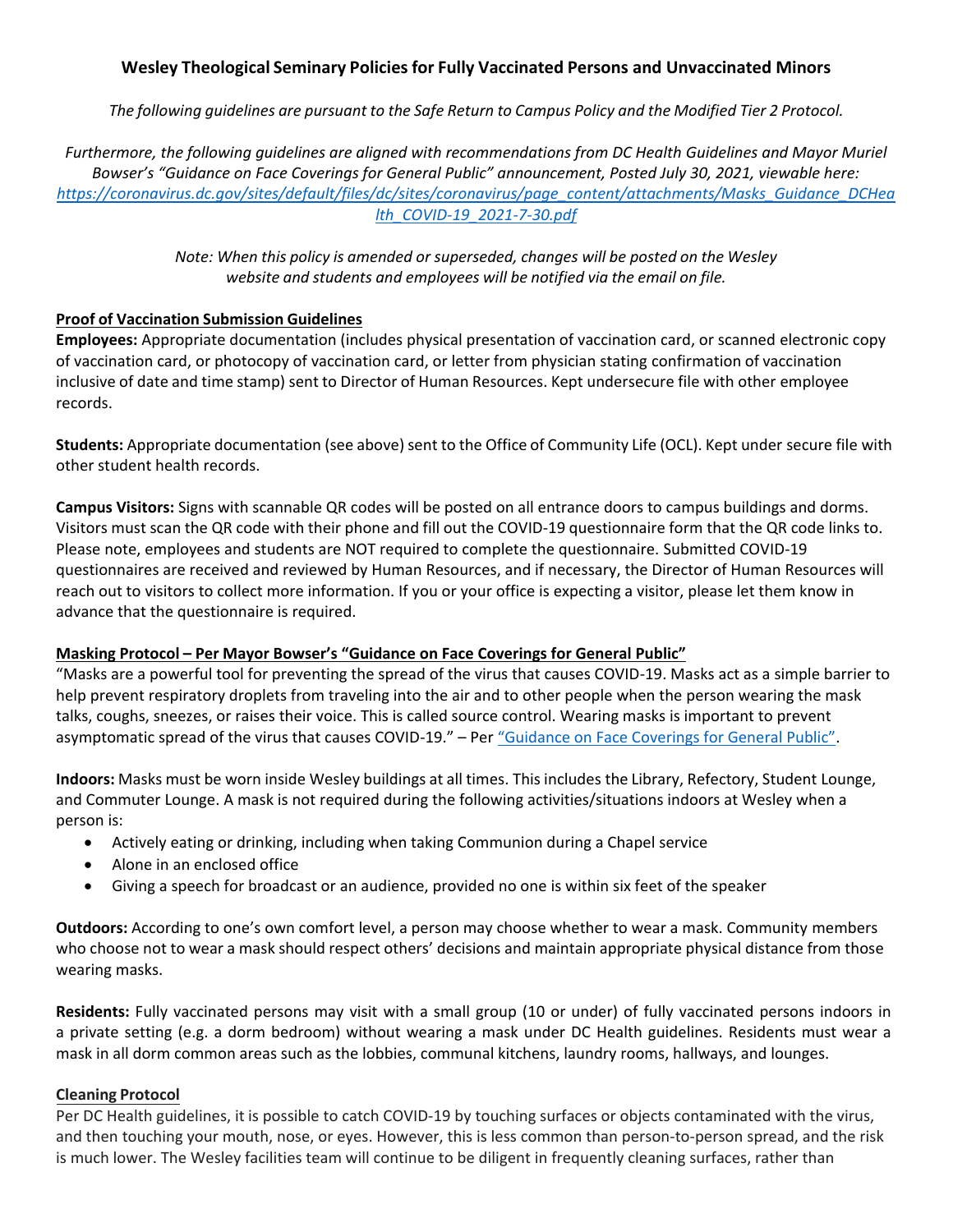# **Wesley Theological Seminary Policiesfor Fully Vaccinated Persons and Unvaccinated Minors**

The following quidelines are pursuant to the Safe Return to Campus Policy and the Modified Tier 2 Protocol.

*Furthermore, the following guidelines are aligned with recommendations from DC Health Guidelines and Mayor Muriel Bowser's "Guidance on Face Coverings for General Public" announcement, Posted July 30, 2021, viewable here: [https://coronavirus.dc.gov/sites/default/files/dc/sites/coronavirus/page\\_content/attachments/Masks\\_Guidance\\_DCHea](https://coronavirus.dc.gov/sites/default/files/dc/sites/coronavirus/page_content/attachments/Masks_Guidance_DCHealth_COVID-19_2021-7-30.pdf) [lth\\_COVID-19\\_2021-7-30.pdf](https://coronavirus.dc.gov/sites/default/files/dc/sites/coronavirus/page_content/attachments/Masks_Guidance_DCHealth_COVID-19_2021-7-30.pdf)*

> *Note: When this policy is amended or superseded, changes will be posted on the Wesley website and students and employees will be notified via the email on file.*

## **Proof of Vaccination Submission Guidelines**

**Employees:** Appropriate documentation (includes physical presentation of vaccination card, or scanned electronic copy of vaccination card, or photocopy of vaccination card, or letter from physician stating confirmation of vaccination inclusive of date and time stamp) sent to Director of Human Resources. Kept undersecure file with other employee records.

**Students:** Appropriate documentation (see above) sent to the Office of Community Life (OCL). Kept under secure file with other student health records.

**Campus Visitors:** Signs with scannable QR codes will be posted on all entrance doors to campus buildings and dorms. Visitors must scan the QR code with their phone and fill out the COVID-19 questionnaire form that the QR code links to. Please note, employees and students are NOT required to complete the questionnaire. Submitted COVID-19 questionnaires are received and reviewed by Human Resources, and if necessary, the Director of Human Resources will reach out to visitors to collect more information. If you or your office is expecting a visitor, please let them know in advance that the questionnaire is required.

### **Masking Protocol – Per Mayor Bowser's "Guidance on Face Coverings for General Public"**

"Masks are a powerful tool for preventing the spread of the virus that causes COVID-19. Masks act as a simple barrier to help prevent respiratory droplets from traveling into the air and to other people when the person wearing the mask talks, coughs, sneezes, or raises their voice. This is called source control. Wearing masks is important to prevent asymptomatic spread of the virus that causes COVID-19." – Per ["Guidance on Face Coverings for General Public"](https://coronavirus.dc.gov/sites/default/files/dc/sites/coronavirus/page_content/attachments/Masks_Guidance_DCHealth_COVID-19_2021-7-30.pdf).

**Indoors:** Masks must be worn inside Wesley buildings at all times. This includes the Library, Refectory, Student Lounge, and Commuter Lounge. A mask is not required during the following activities/situations indoors at Wesley when a person is:

- Actively eating or drinking, including when taking Communion during a Chapel service
- Alone in an enclosed office
- Giving a speech for broadcast or an audience, provided no one is within six feet of the speaker

**Outdoors:** According to one's own comfort level, a person may choose whether to wear a mask. Community members who choose not to wear a mask should respect others' decisions and maintain appropriate physical distance from those wearing masks.

**Residents:** Fully vaccinated persons may visit with a small group (10 or under) of fully vaccinated persons indoors in a private setting (e.g. a dorm bedroom) without wearing a mask under DC Health guidelines. Residents must wear a mask in all dorm common areas such as the lobbies, communal kitchens, laundry rooms, hallways, and lounges.

### **Cleaning Protocol**

Per DC Health guidelines, it is possible to catch COVID-19 by touching surfaces or objects contaminated with the virus, and then touching your mouth, nose, or eyes. However, this is less common than person-to-person spread, and the risk is much lower. The Wesley facilities team will continue to be diligent in frequently cleaning surfaces, rather than